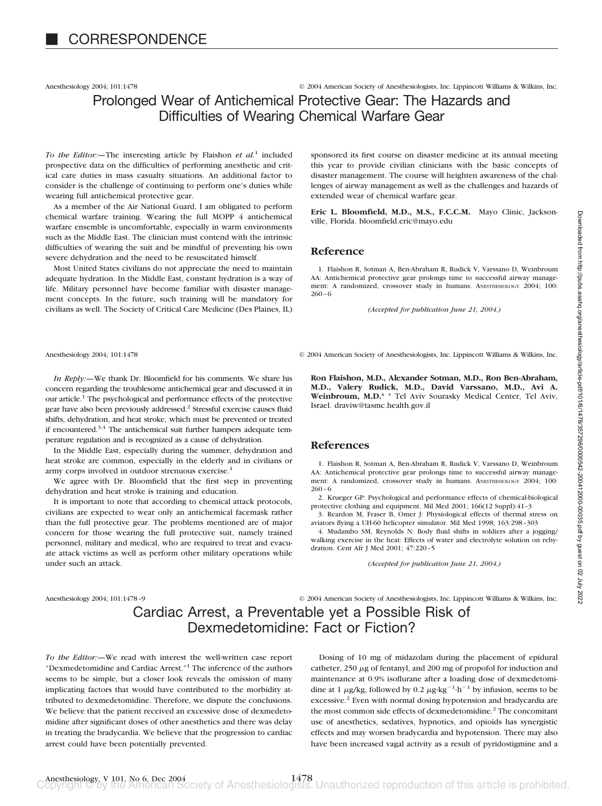Anesthesiology 2004; 101:1478 2004 American Society of Anesthesiologists, Inc. Lippincott Williams & Wilkins, Inc.

# Prolonged Wear of Antichemical Protective Gear: The Hazards and Difficulties of Wearing Chemical Warfare Gear

*To the Editor:—*The interesting article by Flaishon *et al.*<sup>1</sup> included prospective data on the difficulties of performing anesthetic and critical care duties in mass casualty situations. An additional factor to consider is the challenge of continuing to perform one's duties while wearing full antichemical protective gear.

As a member of the Air National Guard, I am obligated to perform chemical warfare training. Wearing the full MOPP 4 antichemical warfare ensemble is uncomfortable, especially in warm environments such as the Middle East. The clinician must contend with the intrinsic difficulties of wearing the suit and be mindful of preventing his own severe dehydration and the need to be resuscitated himself.

Most United States civilians do not appreciate the need to maintain adequate hydration. In the Middle East, constant hydration is a way of life. Military personnel have become familiar with disaster management concepts. In the future, such training will be mandatory for civilians as well. The Society of Critical Care Medicine (Des Plaines, IL)

sponsored its first course on disaster medicine at its annual meeting this year to provide civilian clinicians with the basic concepts of disaster management. The course will heighten awareness of the challenges of airway management as well as the challenges and hazards of extended wear of chemical warfare gear.

**Eric L. Bloomfield, M.D., M.S., F.C.C.M.** Mayo Clinic, Jacksonville, Florida. bloomfield.eric@mayo.edu

#### **Reference**

1. Flaishon R, Sotman A, Ben-Abraham R, Rudick V, Varssano D, Weinbroum AA: Antichemical protective gear prolongs time to successful airway management: A randomized, crossover study in humans. ANESTHESIOLOGY 2004; 100: 260 – 6

*(Accepted for publication June 21, 2004.)*

*In Reply:—*We thank Dr. Bloomfield for his comments. We share his concern regarding the troublesome antichemical gear and discussed it in our article.1 The psychological and performance effects of the protective gear have also been previously addressed.<sup>2</sup> Stressful exercise causes fluid shifts, dehydration, and heat stroke, which must be prevented or treated if encountered. $3,4$  The antichemical suit further hampers adequate temperature regulation and is recognized as a cause of dehydration.

In the Middle East, especially during the summer, dehydration and heat stroke are common, especially in the elderly and in civilians or army corps involved in outdoor strenuous exercise.<sup>1</sup>

We agree with Dr. Bloomfield that the first step in preventing dehydration and heat stroke is training and education.

It is important to note that according to chemical attack protocols, civilians are expected to wear only an antichemical facemask rather than the full protective gear. The problems mentioned are of major concern for those wearing the full protective suit, namely trained personnel, military and medical, who are required to treat and evacuate attack victims as well as perform other military operations while under such an attack.

Anesthesiology 2004; 101:1478 © 2004 American Society of Anesthesiologists, Inc. Lippincott Williams & Wilkins, Inc.

**Ron Flaishon, M.D., Alexander Sotman, M.D., Ron Ben-Abraham, M.D., Valery Rudick, M.D., David Varssano, M.D., Avi A. Weinbroum, M.D.\*** \* Tel Aviv Sourasky Medical Center, Tel Aviv, Israel. draviw@tasmc.health.gov.il

#### **References**

1. Flaishon R, Sotman A, Ben-Abraham R, Rudick V, Varssano D, Weinbroum AA: Antichemical protective gear prolongs time to successful airway management: A randomized, crossover study in humans. ANESTHESIOLOGY 2004; 100: 260 – 6

2. Krueger GP: Psychological and performance effects of chemical-biological protective clothing and equipment. Mil Med 2001; 166(12 Suppl):41–3

3. Reardon M, Fraser B, Omer J: Physiological effects of thermal stress on aviators flying a UH-60 helicopter simulator. Mil Med 1998; 163:298 –303

4. Mudambo SM, Reynolds N: Body fluid shifts in soldiers after a jogging/ walking exercise in the heat: Effects of water and electrolyte solution on rehydration. Cent Afr J Med 2001; 47:220 –5

*(Accepted for publication June 21, 2004.)*

Anesthesiology 2004; 101:1478 –9 © 2004 American Society of Anesthesiologists, Inc. Lippincott Williams & Wilkins, Inc.

# Cardiac Arrest, a Preventable yet a Possible Risk of Dexmedetomidine: Fact or Fiction?

*To the Editor:—*We read with interest the well-written case report "Dexmedetomidine and Cardiac Arrest."1 The inference of the authors seems to be simple, but a closer look reveals the omission of many implicating factors that would have contributed to the morbidity attributed to dexmedetomidine. Therefore, we dispute the conclusions. We believe that the patient received an excessive dose of dexmedetomidine after significant doses of other anesthetics and there was delay in treating the bradycardia. We believe that the progression to cardiac arrest could have been potentially prevented.

Dosing of 10 mg of midazolam during the placement of epidural catheter,  $250 \mu$ g of fentanyl, and  $200 \text{ mg}$  of propofol for induction and maintenance at 0.9% isoflurane after a loading dose of dexmedetomidine at 1  $\mu$ g/kg, followed by 0.2  $\mu$ g·kg<sup>-1</sup>·h<sup>-1</sup> by infusion, seems to be excessive.<sup>2</sup> Even with normal dosing hypotension and bradycardia are the most common side effects of dexmedetomidine.<sup>2</sup> The concomitant use of anesthetics, sedatives, hypnotics, and opioids has synergistic effects and may worsen bradycardia and hypotension. There may also have been increased vagal activity as a result of pyridostigmine and a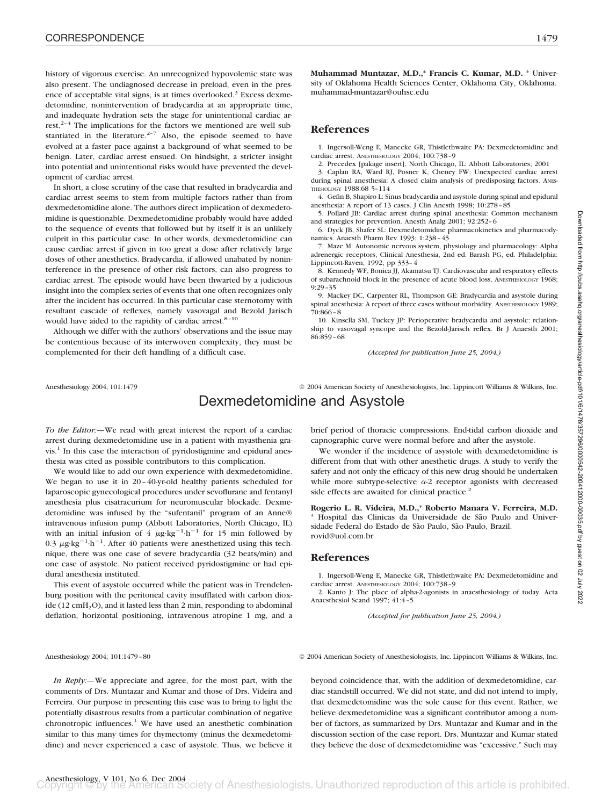history of vigorous exercise. An unrecognized hypovolemic state was also present. The undiagnosed decrease in preload, even in the presence of acceptable vital signs, is at times overlooked.<sup>3</sup> Excess dexmedetomidine, nonintervention of bradycardia at an appropriate time, and inadequate hydration sets the stage for unintentional cardiac arrest.<sup>2–4</sup> The implications for the factors we mentioned are well substantiated in the literature. $2-7$  Also, the episode seemed to have evolved at a faster pace against a background of what seemed to be benign. Later, cardiac arrest ensued. On hindsight, a stricter insight into potential and unintentional risks would have prevented the development of cardiac arrest.

In short, a close scrutiny of the case that resulted in bradycardia and cardiac arrest seems to stem from multiple factors rather than from dexmedetomidine alone. The authors direct implication of dexmedetomidine is questionable. Dexmedetomidine probably would have added to the sequence of events that followed but by itself it is an unlikely culprit in this particular case. In other words, dexmedetomidine can cause cardiac arrest if given in too great a dose after relatively large doses of other anesthetics. Bradycardia, if allowed unabated by noninterference in the presence of other risk factors, can also progress to cardiac arrest. The episode would have been thwarted by a judicious insight into the complex series of events that one often recognizes only after the incident has occurred. In this particular case sternotomy with resultant cascade of reflexes, namely vasovagal and Bezold Jarisch would have aided to the rapidity of cardiac arrest. $8-10$ 

Although we differ with the authors' observations and the issue may be contentious because of its interwoven complexity, they must be complemented for their deft handling of a difficult case.

**Muhammad Muntazar, M.D.,\* Francis C. Kumar, M.D.** \* University of Oklahoma Health Sciences Center, Oklahoma City, Oklahoma. muhammad-muntazar@ouhsc.edu

### **References**

1. Ingersoll-Weng E, Manecke GR, Thistlethwaite PA: Dexmedetomidine and cardiac arrest. ANESTHESIOLOGY 2004; 100:738 –9

2. Precedex [pakage insert]. North Chicago, IL: Abbott Laboratories; 2001

3. Caplan RA, Ward RJ, Posner K, Cheney FW: Unexpected cardiac arrest during spinal anesthesia: A closed claim analysis of predisposing factors. ANES-THESIOLOGY 1988:68 5–114

4. Gefin B, Shapiro L: Sinus bradycardia and asystole during spinal and epidural anesthesia: A report of 13 cases. J Clin Anesth 1998; 10:278 – 85

5. Pollard JB: Cardiac arrest during spinal anesthesia: Common mechanism and strategies for prevention. Anesth Analg 2001; 92:252– 6

6. Dyck JB, Shafer SL: Dexmedetomidine pharmacokinetics and pharmacodynamics. Anaesth Pharm Rev 1993; 1:238 – 45

7. Maze M: Autonomic nervous system, physiology and pharmacology: Alpha adrenergic receptors, Clinical Anesthesia, 2nd ed. Barash PG, ed. Philadelphia: Lippincott-Raven, 1992, pp 333– 4

8. Kennedy WF, Bonica JJ, Akamatsu TJ: Cardiovascular and respiratory effects of subarachnoid block in the presence of acute blood loss. ANESTHESIOLOGY 1968; 9:29 –35

9. Mackey DC, Carpenter RL, Thompson GE: Bradycardia and asystole during spinal anesthesia: A report of three cases without morbidity. ANESTHESIOLOGY 1989; 70:866 – 8

10. Kinsella SM, Tuckey JP: Perioperative bradycardia and asystole: relationship to vasovagal syncope and the Bezold-Jarisch reflex. Br J Anaesth 2001; 86:859 – 68

*(Accepted for publication June 25, 2004.)*

## Anesthesiology 2004; 101:1479 © 2004 American Society of Anesthesiologists, Inc. Lippincott Williams & Wilkins, Inc. Dexmedetomidine and Asystole

*To the Editor:—*We read with great interest the report of a cardiac arrest during dexmedetomidine use in a patient with myasthenia gravis.1 In this case the interaction of pyridostigmine and epidural anesthesia was cited as possible contributors to this complication.

We would like to add our own experience with dexmedetomidine. We began to use it in 20-40-yr-old healthy patients scheduled for laparoscopic gynecological procedures under sevoflurane and fentanyl anesthesia plus cisatracurium for neuromuscular blockade. Dexmedetomidine was infused by the "sufentanil" program of an Anne® intravenous infusion pump (Abbott Laboratories, North Chicago, IL) with an initial infusion of  $4 \mu g \cdot kg^{-1} \cdot h^{-1}$  for 15 min followed by 0.3  $\mu$ g·kg<sup>-1</sup>·h<sup>-1</sup>. After 40 patients were anesthetized using this technique, there was one case of severe bradycardia (32 beats/min) and one case of asystole. No patient received pyridostigmine or had epidural anesthesia instituted.

This event of asystole occurred while the patient was in Trendelenburg position with the peritoneal cavity insufflated with carbon dioxide (12 cmH<sub>2</sub>O), and it lasted less than 2 min, responding to abdominal deflation, horizontal positioning, intravenous atropine 1 mg, and a

brief period of thoracic compressions. End-tidal carbon dioxide and capnographic curve were normal before and after the asystole.

We wonder if the incidence of asystole with dexmedetomidine is different from that with other anesthetic drugs. A study to verify the safety and not only the efficacy of this new drug should be undertaken while more subtype-selective  $\alpha$ -2 receptor agonists with decreased side effects are awaited for clinical practice.<sup>2</sup>

**Rogerio L. R. Videira, M.D.,\* Roberto Manara V. Ferreira, M.D.** \* Hospital das Clinicas da Universidade de São Paulo and Universidade Federal do Estado de São Paulo, São Paulo, Brazil. rovid@uol.com.br

#### **References**

1. Ingersoll-Weng E, Manecke GR, Thistlethwaite PA: Dexmedetomidine and cardiac arrest. ANESTHESIOLOGY 2004; 100:738 –9

2. Kanto J: The place of alpha-2-agonists in anaesthesiology of today. Acta Anaesthesiol Scand 1997; 41:4 –5

*(Accepted for publication June 25, 2004.)*

Anesthesiology 2004; 101:1479 –80 © 2004 American Society of Anesthesiologists, Inc. Lippincott Williams & Wilkins, Inc.

*In Reply:—*We appreciate and agree, for the most part, with the comments of Drs. Muntazar and Kumar and those of Drs. Videira and Ferreira. Our purpose in presenting this case was to bring to light the potentially disastrous results from a particular combination of negative chronotropic influences.<sup>1</sup> We have used an anesthetic combination similar to this many times for thymectomy (minus the dexmedetomidine) and never experienced a case of asystole. Thus, we believe it

beyond coincidence that, with the addition of dexmedetomidine, cardiac standstill occurred. We did not state, and did not intend to imply, that dexmedetomidine was the sole cause for this event. Rather, we believe dexmedetomidine was a significant contributor among a number of factors, as summarized by Drs. Muntazar and Kumar and in the discussion section of the case report. Drs. Muntazar and Kumar stated they believe the dose of dexmedetomidine was "excessive." Such may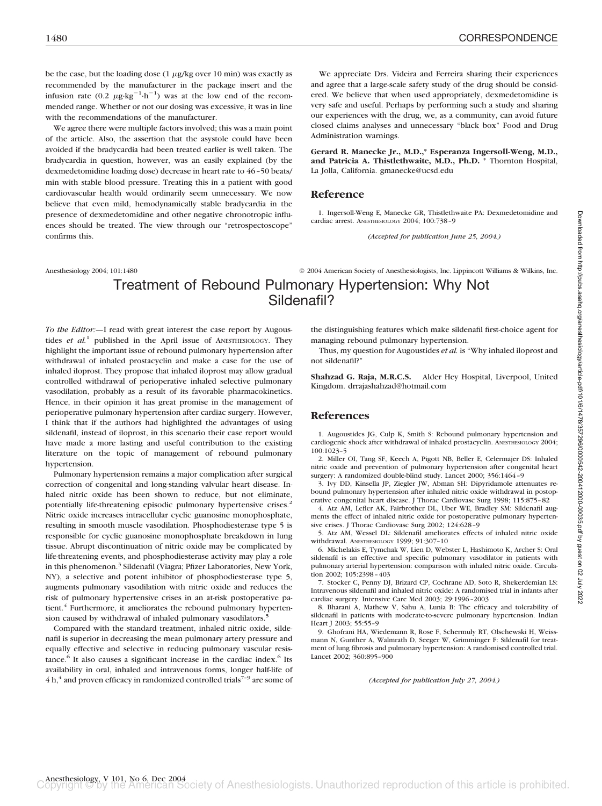be the case, but the loading dose  $(1 \mu g/kg)$  over  $10 \text{ min}$ ) was exactly as recommended by the manufacturer in the package insert and the infusion rate (0.2  $\mu$ g·kg<sup>-1</sup>·h<sup>-1</sup>) was at the low end of the recommended range. Whether or not our dosing was excessive, it was in line with the recommendations of the manufacturer.

We agree there were multiple factors involved; this was a main point of the article. Also, the assertion that the asystole could have been avoided if the bradycardia had been treated earlier is well taken. The bradycardia in question, however, was an easily explained (by the dexmedetomidine loading dose) decrease in heart rate to 46 –50 beats/ min with stable blood pressure. Treating this in a patient with good cardiovascular health would ordinarily seem unnecessary. We now believe that even mild, hemodynamically stable bradycardia in the presence of dexmedetomidine and other negative chronotropic influences should be treated. The view through our "retrospectoscope" confirms this.

We appreciate Drs. Videira and Ferreira sharing their experiences and agree that a large-scale safety study of the drug should be considered. We believe that when used appropriately, dexmedetomidine is very safe and useful. Perhaps by performing such a study and sharing our experiences with the drug, we, as a community, can avoid future closed claims analyses and unnecessary "black box" Food and Drug Administration warnings.

**Gerard R. Manecke Jr., M.D.,\* Esperanza Ingersoll-Weng, M.D., and Patricia A. Thistlethwaite, M.D., Ph.D.** \* Thornton Hospital, La Jolla, California. gmanecke@ucsd.edu

#### **Reference**

1. Ingersoll-Weng E, Manecke GR, Thistlethwaite PA: Dexmedetomidine and cardiac arrest. ANESTHESIOLOGY 2004; 100:738 –9

*(Accepted for publication June 25, 2004.)*

## Anesthesiology 2004; 101:1480 © 2004 American Society of Anesthesiologists, Inc. Lippincott Williams & Wilkins, Inc. Treatment of Rebound Pulmonary Hypertension: Why Not Sildenafil?

*To the Editor:—*I read with great interest the case report by Augoustides *et al.*<sup>1</sup> published in the April issue of ANESTHESIOLOGY. They highlight the important issue of rebound pulmonary hypertension after withdrawal of inhaled prostacyclin and make a case for the use of inhaled iloprost. They propose that inhaled iloprost may allow gradual controlled withdrawal of perioperative inhaled selective pulmonary vasodilation, probably as a result of its favorable pharmacokinetics. Hence, in their opinion it has great promise in the management of perioperative pulmonary hypertension after cardiac surgery. However, I think that if the authors had highlighted the advantages of using sildenafil, instead of iloprost, in this scenario their case report would have made a more lasting and useful contribution to the existing literature on the topic of management of rebound pulmonary hypertension.

Pulmonary hypertension remains a major complication after surgical correction of congenital and long-standing valvular heart disease. Inhaled nitric oxide has been shown to reduce, but not eliminate, potentially life-threatening episodic pulmonary hypertensive crises.<sup>2</sup> Nitric oxide increases intracellular cyclic guanosine monophosphate, resulting in smooth muscle vasodilation. Phosphodiesterase type 5 is responsible for cyclic guanosine monophosphate breakdown in lung tissue. Abrupt discontinuation of nitric oxide may be complicated by life-threatening events, and phosphodiesterase activity may play a role in this phenomenon.<sup>3</sup> Sildenafil (Viagra; Pfizer Laboratories, New York, NY), a selective and potent inhibitor of phosphodiesterase type 5, augments pulmonary vasodilation with nitric oxide and reduces the risk of pulmonary hypertensive crises in an at-risk postoperative patient.<sup>4</sup> Furthermore, it ameliorates the rebound pulmonary hypertension caused by withdrawal of inhaled pulmonary vasodilators.<sup>5</sup>

Compared with the standard treatment, inhaled nitric oxide, sildenafil is superior in decreasing the mean pulmonary artery pressure and equally effective and selective in reducing pulmonary vascular resistance.<sup>6</sup> It also causes a significant increase in the cardiac index.<sup>6</sup> Its availability in oral, inhaled and intravenous forms, longer half-life of  $4 h<sup>4</sup>$  and proven efficacy in randomized controlled trials<sup>7-9</sup> are some of

the distinguishing features which make sildenafil first-choice agent for managing rebound pulmonary hypertension.

Thus, my question for Augoustides *et al.* is "Why inhaled iloprost and not sildenafil?"

**Shahzad G. Raja, M.R.C.S.** Alder Hey Hospital, Liverpool, United Kingdom. drrajashahzad@hotmail.com

#### **References**

1. Augoustides JG, Culp K, Smith S: Rebound pulmonary hypertension and cardiogenic shock after withdrawal of inhaled prostacyclin. ANESTHESIOLOGY 2004; 100:1023–5

2. Miller OI, Tang SF, Keech A, Pigott NB, Beller E, Celermajer DS: Inhaled nitric oxide and prevention of pulmonary hypertension after congenital heart surgery: A randomized double-blind study. Lancet 2000; 356:1464 –9

3. Ivy DD, Kinsella JP, Ziegler JW, Abman SH: Dipyridamole attenuates rebound pulmonary hypertension after inhaled nitric oxide withdrawal in postoperative congenital heart disease. J Thorac Cardiovasc Surg 1998; 115:875-82

4. Atz AM, Lefler AK, Fairbrother DL, Uber WE, Bradley SM: Sildenafil augments the effect of inhaled nitric oxide for postoperative pulmonary hypertensive crises. J Thorac Cardiovasc Surg 2002; 124:628 –9

5. Atz AM, Wessel DL: Sildenafil ameliorates effects of inhaled nitric oxide withdrawal. ANESTHESIOLOGY 1999; 91:307–10

6. Michelakis E, Tymchak W, Lien D, Webster L, Hashimoto K, Archer S: Oral sildenafil is an effective and specific pulmonary vasodilator in patients with pulmonary arterial hypertension: comparison with inhaled nitric oxide. Circulation 2002; 105:2398 – 403

7. Stocker C, Penny DJ, Brizard CP, Cochrane AD, Soto R, Shekerdemian LS: Intravenous sildenafil and inhaled nitric oxide: A randomised trial in infants after cardiac surgery. Intensive Care Med 2003; 29:1996 –2003

8. Bharani A, Mathew V, Sahu A, Lunia B: The efficacy and tolerability of sildenafil in patients with moderate-to-severe pulmonary hypertension. Indian Heart J 2003; 55:55–9

9. Ghofrani HA, Wiedemann R, Rose F, Schermuly RT, Olschewski H, Weissmann N, Gunther A, Walmrath D, Seeger W, Grimminger F: Sildenafil for treatment of lung fibrosis and pulmonary hypertension: A randomised controlled trial. Lancet 2002; 360:895–900

*(Accepted for publication July 27, 2004.)*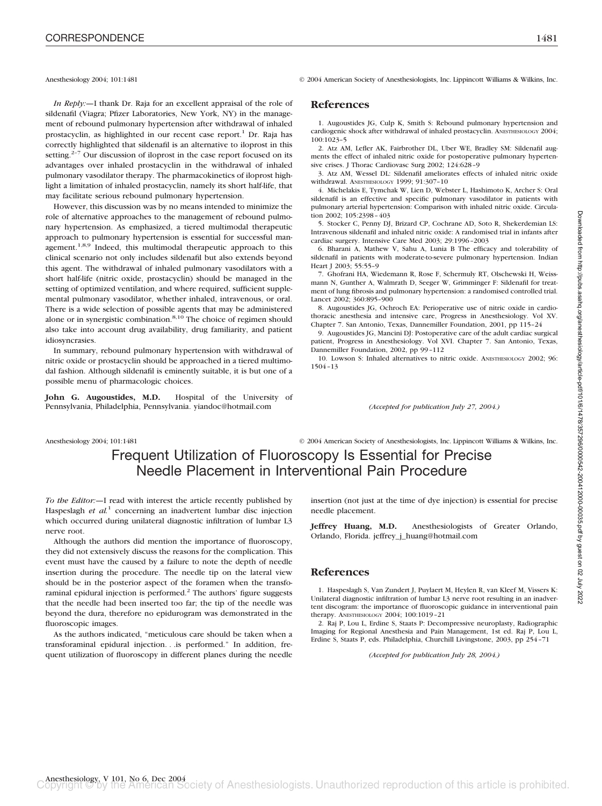*In Reply:—*I thank Dr. Raja for an excellent appraisal of the role of sildenafil (Viagra; Pfizer Laboratories, New York, NY) in the management of rebound pulmonary hypertension after withdrawal of inhaled prostacyclin, as highlighted in our recent case report.<sup>1</sup> Dr. Raja has correctly highlighted that sildenafil is an alternative to iloprost in this setting.<sup>2-7</sup> Our discussion of iloprost in the case report focused on its advantages over inhaled prostacyclin in the withdrawal of inhaled pulmonary vasodilator therapy. The pharmacokinetics of iloprost highlight a limitation of inhaled prostacyclin, namely its short half-life, that may facilitate serious rebound pulmonary hypertension.

However, this discussion was by no means intended to minimize the role of alternative approaches to the management of rebound pulmonary hypertension. As emphasized, a tiered multimodal therapeutic approach to pulmonary hypertension is essential for successful management.<sup>1,8,9</sup> Indeed, this multimodal therapeutic approach to this clinical scenario not only includes sildenafil but also extends beyond this agent. The withdrawal of inhaled pulmonary vasodilators with a short half-life (nitric oxide, prostacyclin) should be managed in the setting of optimized ventilation, and where required, sufficient supplemental pulmonary vasodilator, whether inhaled, intravenous, or oral. There is a wide selection of possible agents that may be administered alone or in synergistic combination.<sup>8,10</sup> The choice of regimen should also take into account drug availability, drug familiarity, and patient idiosyncrasies.

In summary, rebound pulmonary hypertension with withdrawal of nitric oxide or prostacyclin should be approached in a tiered multimodal fashion. Although sildenafil is eminently suitable, it is but one of a possible menu of pharmacologic choices.

**John G. Augoustides, M.D.** Hospital of the University of Pennsylvania, Philadelphia, Pennsylvania. yiandoc@hotmail.com

#### **References**

1. Augoustides JG, Culp K, Smith S: Rebound pulmonary hypertension and cardiogenic shock after withdrawal of inhaled prostacyclin. ANESTHESIOLOGY 2004; 100:1023–5

2. Atz AM, Lefler AK, Fairbrother DL, Uber WE, Bradley SM: Sildenafil augments the effect of inhaled nitric oxide for postoperative pulmonary hypertensive crises. J Thorac Cardiovasc Surg 2002; 124:628 –9

3. Atz AM, Wessel DL: Sildenafil ameliorates effects of inhaled nitric oxide withdrawal. ANESTHESIOLOGY 1999; 91:307–10

4. Michelakis E, Tymchak W, Lien D, Webster L, Hashimoto K, Archer S: Oral sildenafil is an effective and specific pulmonary vasodilator in patients with pulmonary arterial hypertension: Comparison with inhaled nitric oxide. Circulation 2002; 105:2398 – 403

5. Stocker C, Penny DJ, Brizard CP, Cochrane AD, Soto R, Shekerdemian LS: Intravenous sildenafil and inhaled nitric oxide: A randomised trial in infants after cardiac surgery. Intensive Care Med 2003; 29:1996 –2003

6. Bharani A, Mathew V, Sahu A, Lunia B The efficacy and tolerability of sildenafil in patients with moderate-to-severe pulmonary hypertension. Indian Heart J 2003; 55:55–9

7. Ghofrani HA, Wiedemann R, Rose F, Schermuly RT, Olschewski H, Weissmann N, Gunther A, Walmrath D, Seeger W, Grimminger F: Sildenafil for treatment of lung fibrosis and pulmonary hypertension: a randomised controlled trial. Lancet 2002; 360:895–900

8. Augoustides JG, Ochroch EA: Perioperative use of nitric oxide in cardiothoracic anesthesia and intensive care, Progress in Anesthesiology. Vol XV. Chapter 7. San Antonio, Texas, Dannemiller Foundation, 2001, pp 115–24

9. Augoustides JG, Mancini DJ: Postoperative care of the adult cardiac surgical patient, Progress in Anesthesiology. Vol XVI. Chapter 7. San Antonio, Texas, Dannemiller Foundation, 2002, pp 99 –112

10. Lowson S: Inhaled alternatives to nitric oxide. ANESTHESIOLOGY 2002; 96: 1504 –13

*(Accepted for publication July 27, 2004.)*

Anesthesiology 2004; 101:1481 © 2004 American Society of Anesthesiologists, Inc. Lippincott Williams & Wilkins, Inc.

## Frequent Utilization of Fluoroscopy Is Essential for Precise Needle Placement in Interventional Pain Procedure

*To the Editor:—*I read with interest the article recently published by Haspeslagh *et al.*<sup>1</sup> concerning an inadvertent lumbar disc injection which occurred during unilateral diagnostic infiltration of lumbar L3 nerve root.

Although the authors did mention the importance of fluoroscopy, they did not extensively discuss the reasons for the complication. This event must have the caused by a failure to note the depth of needle insertion during the procedure. The needle tip on the lateral view should be in the posterior aspect of the foramen when the transforaminal epidural injection is performed. $<sup>2</sup>$  The authors' figure suggests</sup> that the needle had been inserted too far; the tip of the needle was beyond the dura, therefore no epidurogram was demonstrated in the fluoroscopic images.

As the authors indicated, "meticulous care should be taken when a transforaminal epidural injection. . .is performed." In addition, frequent utilization of fluoroscopy in different planes during the needle

insertion (not just at the time of dye injection) is essential for precise needle placement.

**Jeffrey Huang, M.D.** Anesthesiologists of Greater Orlando, Orlando, Florida. jeffrey\_j\_huang@hotmail.com

#### **References**

1. Haspeslagh S, Van Zundert J, Puylaert M, Heylen R, van Kleef M, Vissers K: Unilateral diagnostic infiltration of lumbar L3 nerve root resulting in an inadvertent discogram: the importance of fluoroscopic guidance in interventional pain therapy. ANESTHESIOLOGY 2004; 100:1019 –21

2. Raj P, Lou L, Erdine S, Staats P: Decompressive neuroplasty, Radiographic Imaging for Regional Anesthesia and Pain Management, 1st ed. Raj P, Lou L, Erdine S, Staats P, eds. Philadelphia, Churchill Livingstone, 2003, pp 254 –71

*(Accepted for publication July 28, 2004.)*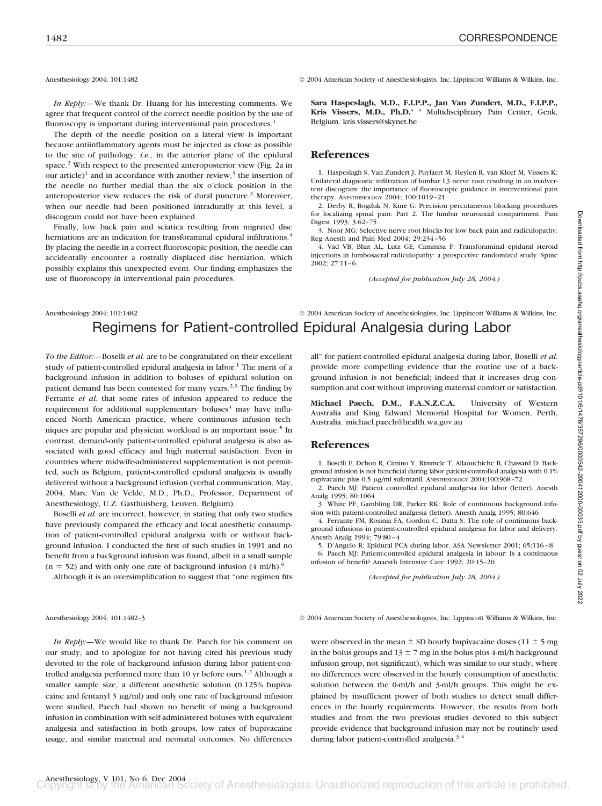*In Reply:—*We thank Dr. Huang for his interesting comments. We agree that frequent control of the correct needle position by the use of fluoroscopy is important during interventional pain procedures.<sup>1</sup>

The depth of the needle position on a lateral view is important because antiinflammatory agents must be injected as close as possible to the site of pathology; *i.e.*, in the anterior plane of the epidural space.2 With respect to the presented anteroposterior view (Fig. 2a in our article)<sup>1</sup> and in accordance with another review,<sup>3</sup> the insertion of the needle no further medial than the six o'clock position in the anteroposterior view reduces the risk of dural puncture.<sup>3</sup> Moreover, when our needle had been positioned intradurally at this level, a discogram could not have been explained.

Finally, low back pain and sciatica resulting from migrated disc herniations are an indication for transforaminal epidural infiltrations.<sup>4</sup> By placing the needle in a correct fluoroscopic position, the needle can accidentally encounter a rostrally displaced disc herniation, which possibly explains this unexpected event. Our finding emphasizes the use of fluoroscopy in interventional pain procedures.

Anesthesiology 2004; 101:1482 © 2004 American Society of Anesthesiologists, Inc. Lippincott Williams & Wilkins, Inc.

**Sara Haspeslagh, M.D., F.I.P.P., Jan Van Zundert, M.D., F.I.P.P., Kris Vissers, M.D., Ph.D.\*** \* Multidisciplinary Pain Center, Genk, Belgium. kris.vissers@skynet.be

#### **References**

1. Haspeslagh S, Van Zundert J, Puylaert M, Heylen R, van Kleef M, Vissers K: Unilateral diagnostic infiltration of lumbar L3 nerve root resulting in an inadvertent discogram: the importance of fluoroscopic guidance in interventional pain therapy. ANESTHESIOLOGY 2004; 100:1019 –21

2. Derby R, Bogduk N, Kine G: Precision percutaneous blocking procedures for localizing spinal pain: Part 2. The lumbar neuroaxial compartment. Pain Digest 1993; 3:62–75

3. Noor MG: Selective nerve root blocks for low back pain and radiculopathy. Reg Anesth and Pain Med 2004; 29:234 –56

4. Vad VB, Bhat AL, Lutz GE, Cammisa F: Transforaminal epidural steroid injections in lumbosacral radiculopathy: a prospective randomized study. Spine 2002; 27:11– 6

*(Accepted for publication July 28, 2004.)*

## Anesthesiology 2004; 101:1482 © 2004 American Society of Anesthesiologists, Inc. Lippincott Williams & Wilkins, Inc. Regimens for Patient-controlled Epidural Analgesia during Labor

*To the Editor:—*Boselli *et al.* are to be congratulated on their excellent study of patient-controlled epidural analgesia in labor.<sup>1</sup> The merit of a background infusion in addition to boluses of epidural solution on patient demand has been contested for many years. $2,3$  The finding by Ferrante *et al.* that some rates of infusion appeared to reduce the requirement for additional supplementary boluses $4$  may have influenced North American practice, where continuous infusion techniques are popular and physician workload is an important issue.<sup>5</sup> In contrast, demand-only patient-controlled epidural analgesia is also associated with good efficacy and high maternal satisfaction. Even in countries where midwife-administered supplementation is not permitted, such as Belgium, patient-controlled epidural analgesia is usually delivered without a background infusion (verbal communication, May, 2004, Marc Van de Velde, M.D., Ph.D., Professor, Department of Anesthesiology, U.Z. Gasthuisberg, Leuven, Belgium).

Boselli *et al.* are incorrect, however, in stating that only two studies have previously compared the efficacy and local anesthetic consumption of patient-controlled epidural analgesia with or without background infusion. I conducted the first of such studies in 1991 and no benefit from a background infusion was found, albeit in a small sample  $(n = 52)$  and with only one rate of background infusion  $(4 \text{ ml/h})$ .<sup>6</sup>

Although it is an oversimplification to suggest that "one regimen fits

all" for patient-controlled epidural analgesia during labor, Boselli *et al.* provide more compelling evidence that the routine use of a background infusion is not beneficial; indeed that it increases drug consumption and cost without improving maternal comfort or satisfaction.

**Michael Paech, D.M., F.A.N.Z.C.A.** University of Western Australia and King Edward Memorial Hospital for Women, Perth, Australia. michael.paech@health.wa.gov.au

#### **References**

1. Boselli E, Debon R, Cimino Y, Rimmele T, Allaouchiche B, Chassard D: Background infusion is not beneficial during labor patient-controlled analgesia with 0.1% ropivacaine plus 0.5 µg/ml sufentanil. ANESTHESIOLOGY 2004;100:968-72

2. Paech MJ: Patient controlled epidural analgesia for labor (letter). Anesth Analg 1995; 80:1064

3. White PF, Gambling DR, Parker RK: Role of continuous background infusion with patient-controlled analgesia (letter). Anesth Analg 1995; 80:646

4. Ferrante FM, Rosinia FA, Gordon C, Datta S: The role of continuous background infusions in patient-controlled epidural analgesia for labor and delivery. Anesth Analg 1994; 79:80 – 4

5. D'Angelo R: Epidural PCA during labor. ASA Newsletter 2001; 65:116 – 8 6. Paech MJ: Patient-controlled epidural analgesia in labour: Is a continuous infusion of benefit? Anaesth Intensive Care 1992; 20:15–20

*(Accepted for publication July 28, 2004.)*

Anesthesiology 2004; 101:1482–3 © 2004 American Society of Anesthesiologists, Inc. Lippincott Williams & Wilkins, Inc.

*In Reply:—*We would like to thank Dr. Paech for his comment on our study, and to apologize for not having cited his previous study devoted to the role of background infusion during labor patient-controlled analgesia performed more than 10 yr before ours.<sup>1,2</sup> Although a smaller sample size, a different anesthetic solution (0.125% bupivacaine and fentanyl  $3 \mu g/ml$ ) and only one rate of background infusion were studied, Paech had shown no benefit of using a background infusion in combination with self-administered boluses with equivalent analgesia and satisfaction in both groups, low rates of bupivacaine usage, and similar maternal and neonatal outcomes. No differences

were observed in the mean  $\pm$  SD hourly bupivacaine doses (11  $\pm$  5 mg in the bolus groups and  $13 \pm 7$  mg in the bolus plus 4-ml/h background infusion group, not significant), which was similar to our study, where no differences were observed in the hourly consumption of anesthetic solution between the 0-ml/h and 3-ml/h groups. This might be explained by insufficient power of both studies to detect small differences in the hourly requirements. However, the results from both studies and from the two previous studies devoted to this subject provide evidence that background infusion may not be routinely used during labor patient-controlled analgesia.<sup>3,4</sup>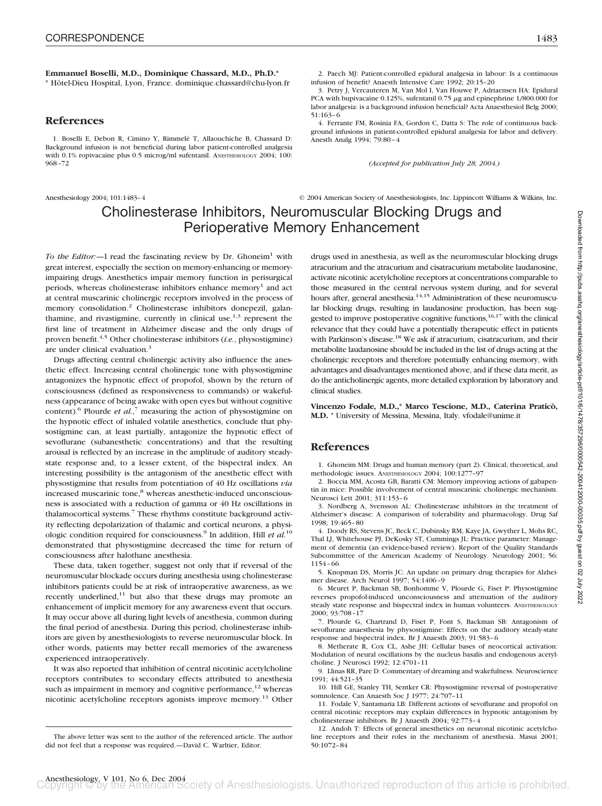**Emmanuel Boselli, M.D., Dominique Chassard, M.D., Ph.D.\*** \* Hôtel-Dieu Hospital, Lyon, France. dominique.chassard@chu-lyon.fr

#### **References**

1. Boselli E, Debon R, Cimino Y, Rimmelé T, Allaouchiche B, Chassard D: Background infusion is not beneficial during labor patient-controlled analgesia with 0.1% ropivacaine plus 0.5 microg/ml sufentanil. ANESTHESIOLOGY 2004; 100: 968 –72

2. Paech MJ: Patient-controlled epidural analgesia in labour: Is a continuous infusion of benefit? Anaesth Intensive Care 1992; 20:15–20

3. Petry J, Vercauteren M, Van Mol I, Van Houwe P, Adriaensen HA: Epidural PCA with bupivacaine 0.125%, sufentanil 0.75  $\mu$ g and epinephrine 1/800.000 for labor analgesia: is a background infusion beneficial? Acta Anaesthesiol Belg 2000; 51:163– 6

4. Ferrante FM, Rosinia FA, Gordon C, Datta S: The role of continuous background infusions in patient-controlled epidural analgesia for labor and delivery. Anesth Analg 1994; 79:80 – 4

*(Accepted for publication July 28, 2004.)*

Anesthesiology 2004; 101:1483–4 © 2004 American Society of Anesthesiologists, Inc. Lippincott Williams & Wilkins, Inc.

# Cholinesterase Inhibitors, Neuromuscular Blocking Drugs and Perioperative Memory Enhancement

*To the Editor*:—I read the fascinating review by Dr. Ghoneim<sup>1</sup> with great interest, especially the section on memory-enhancing or memoryimpairing drugs. Anesthetics impair memory function in perisurgical periods, whereas cholinesterase inhibitors enhance memory<sup>1</sup> and act at central muscarinic cholinergic receptors involved in the process of memory consolidation.<sup>2</sup> Cholinesterase inhibitors donepezil, galanthamine, and rivastigmine, currently in clinical use, $1,3$  represent the first line of treatment in Alzheimer disease and the only drugs of proven benefit.<sup>4,5</sup> Other cholinesterase inhibitors (*i.e.*, physostigmine) are under clinical evaluation.<sup>3</sup>

Drugs affecting central cholinergic activity also influence the anesthetic effect. Increasing central cholinergic tone with physostigmine antagonizes the hypnotic effect of propofol, shown by the return of consciousness (defined as responsiveness to commands) or wakefulness (appearance of being awake with open eyes but without cognitive content).<sup>6</sup> Plourde *et al.*,<sup>7</sup> measuring the action of physostigmine on the hypnotic effect of inhaled volatile anesthetics, conclude that physostigmine can, at least partially, antagonize the hypnotic effect of sevoflurane (subanesthetic concentrations) and that the resulting arousal is reflected by an increase in the amplitude of auditory steadystate response and, to a lesser extent, of the bispectral index. An interesting possibility is the antagonism of the anesthetic effect with physostigmine that results from potentiation of 40 Hz oscillations *via* increased muscarinic tone,<sup>8</sup> whereas anesthetic-induced unconsciousness is associated with a reduction of gamma or 40 Hz oscillations in thalamocortical systems.<sup>7</sup> These rhythms constitute background activity reflecting depolarization of thalamic and cortical neurons, a physiologic condition required for consciousness.<sup>9</sup> In addition, Hill *et al.*<sup>10</sup> demonstrated that physostigmine decreased the time for return of consciousness after halothane anesthesia.

These data, taken together, suggest not only that if reversal of the neuromuscular blockade occurs during anesthesia using cholinesterase inhibitors patients could be at risk of intraoperative awareness, as we recently underlined, $11$  but also that these drugs may promote an enhancement of implicit memory for any awareness event that occurs. It may occur above all during light levels of anesthesia, common during the final period of anesthesia. During this period, cholinesterase inhibitors are given by anesthesiologists to reverse neuromuscular block. In other words, patients may better recall memories of the awareness experienced intraoperatively.

It was also reported that inhibition of central nicotinic acetylcholine receptors contributes to secondary effects attributed to anesthesia such as impairment in memory and cognitive performance, $12$  whereas nicotinic acetylcholine receptors agonists improve memory.13 Other drugs used in anesthesia, as well as the neuromuscular blocking drugs atracurium and the atracurium and cisatracurium metabolite laudanosine, activate nicotinic acetylcholine receptors at concentrations comparable to those measured in the central nervous system during, and for several hours after, general anesthesia.<sup>14,15</sup> Administration of these neuromuscular blocking drugs, resulting in laudanosine production, has been suggested to improve postoperative cognitive functions,<sup>16,17</sup> with the clinical relevance that they could have a potentially therapeutic effect in patients with Parkinson's disease.<sup>18</sup> We ask if atracurium, cisatracurium, and their metabolite laudanosine should be included in the list of drugs acting at the cholinergic receptors and therefore potentially enhancing memory, with advantages and disadvantages mentioned above, and if these data merit, as do the anticholinergic agents, more detailed exploration by laboratory and clinical studies.

**Vincenzo Fodale, M.D.,\* Marco Tescione, M.D., Caterina Praticò, M.D.** \* University of Messina, Messina, Italy. vfodale@unime.it

#### **References**

1. Ghoneim MM: Drugs and human memory (part 2). Clinical, theoretical, and methodologic issues. ANESTHESIOLOGY 2004; 100:1277–97

2. Boccia MM, Acosta GB, Baratti CM: Memory improving actions of gabapentin in mice: Possible involvement of central muscarinic cholinergic mechanism. Neurosci Lett 2001; 311:153– 6

3. Nordberg A, Svensson AL: Cholinesterase inhibitors in the treatment of Alzheimer's disease: A comparison of tolerability and pharmacology. Drug Saf 1998; 19:465– 80

4. Doody RS, Stevens JC, Beck C, Dubinsky RM, Kaye JA, Gwyther L, Mohs RC, Thal LJ, Whitehouse PJ, DeKosky ST, Cummings JL: Practice parameter: Management of dementia (an evidence-based review). Report of the Quality Standards Subcommittee of the American Academy of Neurology. Neurology 2001; 56: 1154 – 66

5. Knopman DS, Morris JC: An update on primary drug therapies for Alzheimer disease. Arch Neurol 1997; 54:1406 –9

6. Meuret P, Backman SB, Bonhomme V, Plourde G, Fiset P: Physostigmine reverses propofol-induced unconsciousness and attenuation of the auditory steady state response and bispectral index in human volunteers. ANESTHESIOLOGY 2000; 93:708 –17

7. Plourde G, Chartrand D, Fiset P, Font S, Backman SB: Antagonism of sevoflurane anaesthesia by physostigmine: Effects on the auditory steady-state response and bispectral index. Br J Anaesth 2003; 91:583– 6

8. Metherate R, Cox CL, Ashe JH: Cellular bases of neocortical activation: Modulation of neural oscillations by the nucleus basalis and endogenous acetylcholine. J Neurosci 1992; 12:4701–11

9. Llinas RR, Pare D: Commentary of dreaming and wakefulness. Neuroscience 1991; 44:521–35

10. Hill GE, Stanley TH, Sentker CR: Physostigmine reversal of postoperative somnolence. Can Anaesth Soc J 1977; 24:707–11

11. Fodale V, Santamaria LB: Different actions of sevoflurane and propofol on central nicotinic receptors may explain differences in hypnotic antagonism by cholinesterase inhibitors. Br J Anaesth 2004; 92:773– 4

12. Andoh T: Effects of general anesthetics on neuronal nicotinic acetylcholine receptors and their roles in the mechanism of anesthesia. Masui 2001; 50:1072– 84

The above letter was sent to the author of the referenced article. The author did not feel that a response was required.—David C. Warltier, Editor.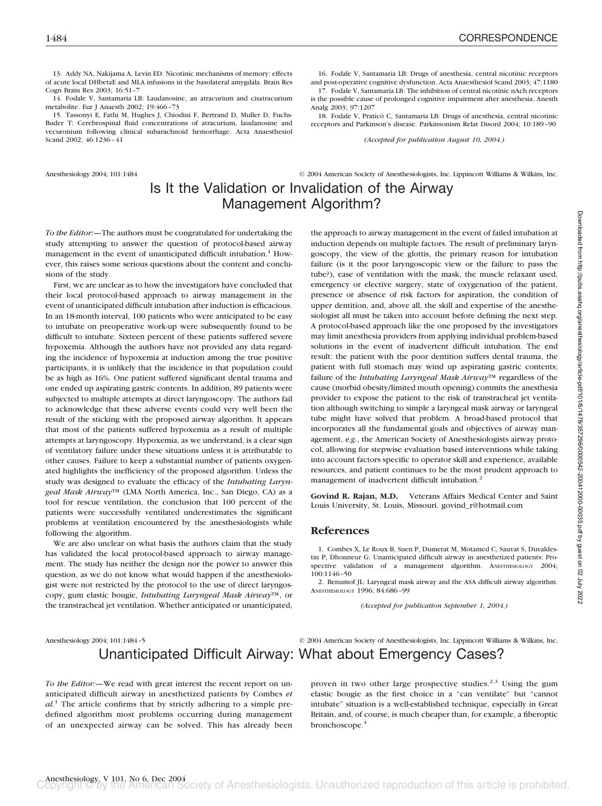13. Addy NA, Nakijama A, Levin ED: Nicotinic mechanisms of memory: effects of acute local DHbetaE and MLA infusions in the basolateral amygdala. Brain Res Cogn Brain Res 2003; 16:51–7

14. Fodale V, Santamaria LB: Laudanosine, an atracurium and cisatracurium metabolite. Eur J Anaesth 2002; 19:466 –73

15. Tassonyi E, Fathi M, Hughes J, Chiodini F, Bertrand D, Muller D, Fuchs-Buder T: Cerebrospinal fluid concentrations of atracurium, laudanosine and vecuronium following clinical subarachnoid hemorrhage. Acta Anaesthesiol Scand 2002; 46:1236 – 41

#### Anesthesiology 2004; 101:1484 © 2004 American Society of Anesthesiologists, Inc. Lippincott Williams & Wilkins, Inc.

16. Fodale V, Santamaria LB: Drugs of anesthesia, central nicotinic receptors and post-operative cognitive dysfunction. Acta Anaesthesiol Scand 2003; 47:1180 17. Fodale V, Santamaria LB: The inhibition of central nicotinic nAch receptors

is the possible cause of prolonged cognitive impairment after anesthesia. Anesth Analg 2003; 97:1207

18. Fodale V, Praticò C, Santamaria LB: Drugs of anesthesia, central nicotinic receptors and Parkinson's disease. Parkinsonism Relat Disord 2004; 10:189 –90

*(Accepted for publication August 10, 2004.)*

# Is It the Validation or Invalidation of the Airway Management Algorithm?

*To the Editor:—*The authors must be congratulated for undertaking the study attempting to answer the question of protocol-based airway management in the event of unanticipated difficult intubation.<sup>1</sup> However, this raises some serious questions about the content and conclusions of the study.

First, we are unclear as to how the investigators have concluded that their local protocol-based approach to airway management in the event of unanticipated difficult intubation after induction is efficacious. In an 18-month interval, 100 patients who were anticipated to be easy to intubate on preoperative work-up were subsequently found to be difficult to intubate. Sixteen percent of these patients suffered severe hypoxemia. Although the authors have not provided any data regarding the incidence of hypoxemia at induction among the true positive participants, it is unlikely that the incidence in that population could be as high as 16%. One patient suffered significant dental trauma and one ended up aspirating gastric contents. In addition, 89 patients were subjected to multiple attempts at direct laryngoscopy. The authors fail to acknowledge that these adverse events could very well been the result of the sticking with the proposed airway algorithm. It appears that most of the patients suffered hypoxemia as a result of multiple attempts at laryngoscopy. Hypoxemia, as we understand, is a clear sign of ventilatory failure under these situations unless it is attributable to other causes. Failure to keep a substantial number of patients oxygenated highlights the inefficiency of the proposed algorithm. Unless the study was designed to evaluate the efficacy of the *Intubating Laryngeal Mask Airway*™ (LMA North America, Inc., San Diego, CA) as a tool for rescue ventilation, the conclusion that 100 percent of the patients were successfully ventilated underestimates the significant problems at ventilation encountered by the anesthesiologists while following the algorithm.

We are also unclear on what basis the authors claim that the study has validated the local protocol-based approach to airway management. The study has neither the design nor the power to answer this question, as we do not know what would happen if the anesthesiologist were not restricted by the protocol to the use of direct laryngoscopy, gum elastic bougie, *Intubating Laryngeal Mask Airway*™, or the transtracheal jet ventilation. Whether anticipated or unanticipated,

the approach to airway management in the event of failed intubation at induction depends on multiple factors. The result of preliminary laryngoscopy, the view of the glottis, the primary reason for intubation failure (is it the poor laryngoscopic view or the failure to pass the tube?), ease of ventilation with the mask, the muscle relaxant used, emergency or elective surgery, state of oxygenation of the patient, presence or absence of risk factors for aspiration, the condition of upper dentition, and, above all, the skill and expertise of the anesthesiologist all must be taken into account before defining the next step. A protocol-based approach like the one proposed by the investigators may limit anesthesia providers from applying individual problem-based solutions in the event of inadvertent difficult intubation. The end result: the patient with the poor dentition suffers dental trauma, the patient with full stomach may wind up aspirating gastric contents; failure of the *Intubating Laryngeal Mask Airway*™ regardless of the cause (morbid obesity/limited mouth opening) commits the anesthesia provider to expose the patient to the risk of transtracheal jet ventilation although switching to simple a laryngeal mask airway or laryngeal tube might have solved that problem. A broad-based protocol that incorporates all the fundamental goals and objectives of airway management, *e.g.*, the American Society of Anesthesiologists airway protocol, allowing for stepwise evaluation based interventions while taking into account factors specific to operator skill and experience, available resources, and patient continues to be the most prudent approach to management of inadvertent difficult intubation.<sup>2</sup>

**Govind R. Rajan, M.D.** Veterans Affairs Medical Center and Saint Louis University, St. Louis, Missouri. govind\_r@hotmail.com

#### **References**

1. Combes X, Le Roux B, Suen P, Dumerat M, Motamed C, Sauvat S, Duvaldestin P, Dhonneur G: Unanticipated difficult airway in anesthetized patients: Prospective validation of a management algorithm. ANESTHESIOLOGY 2004; 100:1146 –50

2. Benumof JL: Laryngeal mask airway and the ASA difficult airway algorithm. ANESTHESIOLOGY 1996; 84:686 –99

*(Accepted for publication September 1, 2004.)*

## Anesthesiology 2004; 101:1484 –5 © 2004 American Society of Anesthesiologists, Inc. Lippincott Williams & Wilkins, Inc. Unanticipated Difficult Airway: What about Emergency Cases?

*To the Editor:—*We read with great interest the recent report on unanticipated difficult airway in anesthetized patients by Combes *et al.*<sup>1</sup> The article confirms that by strictly adhering to a simple predefined algorithm most problems occurring during management of an unexpected airway can be solved. This has already been

proven in two other large prospective studies.<sup>2,3</sup> Using the gum elastic bougie as the first choice in a "can ventilate" but "cannot intubate" situation is a well-established technique, especially in Great Britain, and, of course, is much cheaper than, for example, a fiberoptic bronchoscope.4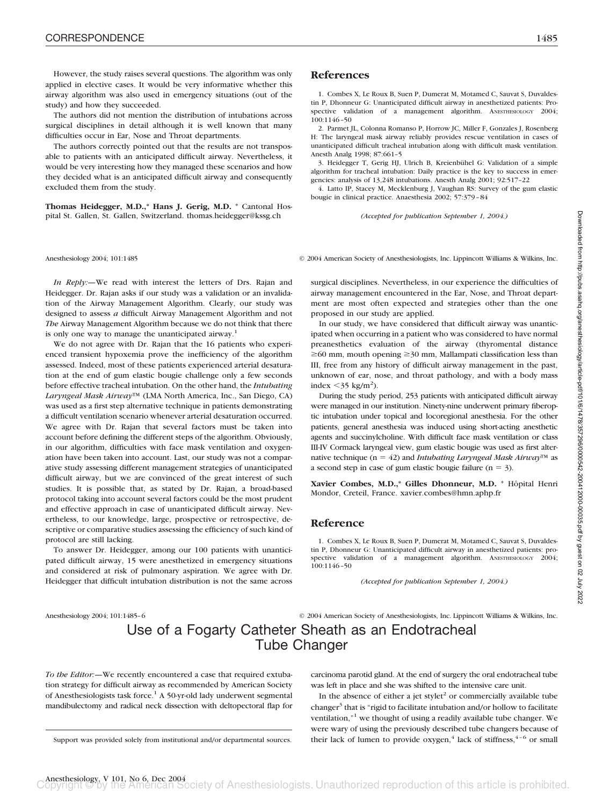However, the study raises several questions. The algorithm was only applied in elective cases. It would be very informative whether this airway algorithm was also used in emergency situations (out of the study) and how they succeeded.

The authors did not mention the distribution of intubations across surgical disciplines in detail although it is well known that many difficulties occur in Ear, Nose and Throat departments.

The authors correctly pointed out that the results are not transposable to patients with an anticipated difficult airway. Nevertheless, it would be very interesting how they managed these scenarios and how they decided what is an anticipated difficult airway and consequently excluded them from the study.

**Thomas Heidegger, M.D.,\* Hans J. Gerig, M.D.** \* Cantonal Hospital St. Gallen, St. Gallen, Switzerland. thomas.heidegger@kssg.ch

*In Reply:—*We read with interest the letters of Drs. Rajan and Heidegger. Dr. Rajan asks if our study was a validation or an invalidation of the Airway Management Algorithm. Clearly, our study was designed to assess *a* difficult Airway Management Algorithm and not *The* Airway Management Algorithm because we do not think that there is only one way to manage the unanticipated airway.<sup>1</sup>

We do not agree with Dr. Rajan that the 16 patients who experienced transient hypoxemia prove the inefficiency of the algorithm assessed. Indeed, most of these patients experienced arterial desaturation at the end of gum elastic bougie challenge only a few seconds before effective tracheal intubation. On the other hand, the *Intubating Laryngeal Mask Airway*™ (LMA North America, Inc., San Diego, CA) was used as a first step alternative technique in patients demonstrating a difficult ventilation scenario whenever arterial desaturation occurred. We agree with Dr. Rajan that several factors must be taken into account before defining the different steps of the algorithm. Obviously, in our algorithm, difficulties with face mask ventilation and oxygenation have been taken into account. Last, our study was not a comparative study assessing different management strategies of unanticipated difficult airway, but we are convinced of the great interest of such studies. It is possible that, as stated by Dr. Rajan, a broad-based protocol taking into account several factors could be the most prudent and effective approach in case of unanticipated difficult airway. Nevertheless, to our knowledge, large, prospective or retrospective, descriptive or comparative studies assessing the efficiency of such kind of protocol are still lacking.

To answer Dr. Heidegger, among our 100 patients with unanticipated difficult airway, 15 were anesthetized in emergency situations and considered at risk of pulmonary aspiration. We agree with Dr. Heidegger that difficult intubation distribution is not the same across

#### **References**

1. Combes X, Le Roux B, Suen P, Dumerat M, Motamed C, Sauvat S, Duvaldestin P, Dhonneur G: Unanticipated difficult airway in anesthetized patients: Prospective validation of a management algorithm. ANESTHESIOLOGY 2004; 100:1146 –50

2. Parmet JL, Colonna Romanso P, Horrow JC, Miller F, Gonzales J, Rosenberg H: The laryngeal mask airway reliably provides rescue ventilation in cases of unanticipated difficult tracheal intubation along with difficult mask ventilation. Anesth Analg 1998; 87:661–5

3. Heidegger T, Gerig HJ, Ulrich B, Kreienbühel G: Validation of a simple algorithm for tracheal intubation: Daily practice is the key to success in emergencies: analysis of 13,248 intubations. Anesth Analg 2001; 92:517–22

4. Latto IP, Stacey M, Mecklenburg J, Vaughan RS: Survey of the gum elastic bougie in clinical practice. Anaesthesia 2002; 57:379 – 84

*(Accepted for publication September 1, 2004.)*

Anesthesiology 2004; 101:1485 © 2004 American Society of Anesthesiologists, Inc. Lippincott Williams & Wilkins, Inc.

surgical disciplines. Nevertheless, in our experience the difficulties of airway management encountered in the Ear, Nose, and Throat department are most often expected and strategies other than the one proposed in our study are applied.

In our study, we have considered that difficult airway was unanticipated when occurring in a patient who was considered to have normal preanesthetics evaluation of the airway (thyromental distance  $\geq$ 60 mm, mouth opening  $\geq$ 30 mm, Mallampati classification less than III, free from any history of difficult airway management in the past, unknown of ear, nose, and throat pathology, and with a body mass index  $\leq$ 35 kg/m<sup>2</sup>).

During the study period, 253 patients with anticipated difficult airway were managed in our institution. Ninety-nine underwent primary fiberoptic intubation under topical and locoregional anesthesia. For the other patients, general anesthesia was induced using short-acting anesthetic agents and succinylcholine. With difficult face mask ventilation or class III-IV Cormack laryngeal view, gum elastic bougie was used as first alternative technique (n = 42) and *Intubating Laryngeal Mask Airway*<sup>™</sup> as a second step in case of gum elastic bougie failure  $(n = 3)$ .

**Xavier Combes, M.D.,\* Gilles Dhonneur, M.D.** \* Hôpital Henri Mondor, Creteil, France. xavier.combes@hmn.aphp.fr

#### **Reference**

1. Combes X, Le Roux B, Suen P, Dumerat M, Motamed C, Sauvat S, Duvaldestin P, Dhonneur G: Unanticipated difficult airway in anesthetized patients: prospective validation of a management algorithm. ANESTHESIOLOGY 2004; 100:1146 –50

*(Accepted for publication September 1, 2004.)*

Anesthesiology 2004; 101:1485–6 © 2004 American Society of Anesthesiologists, Inc. Lippincott Williams & Wilkins, Inc.

# Use of a Fogarty Catheter Sheath as an Endotracheal Tube Changer

*To the Editor:—*We recently encountered a case that required extubation strategy for difficult airway as recommended by American Society of Anesthesiologists task force.1 A 50-yr-old lady underwent segmental mandibulectomy and radical neck dissection with deltopectoral flap for carcinoma parotid gland. At the end of surgery the oral endotracheal tube was left in place and she was shifted to the intensive care unit.

In the absence of either a jet stylet<sup>2</sup> or commercially available tube changer<sup>3</sup> that is "rigid to facilitate intubation and/or hollow to facilitate ventilation,"<sup>1</sup> we thought of using a readily available tube changer. We were wary of using the previously described tube changers because of Support was provided solely from institutional and/or departmental sources. their lack of lumen to provide  $oxygen<sub>i</sub><sup>4</sup> = 6$  or small

Downloaded from http://pubs.asahq.org/anesthesiology/article-pdf/1011478/357296/0000542-200412000-00035.pdf by guest on 02 July 2022 Downloaded from http://pubs.asahq.org/anesthesiology/article-pdf/101/6/1478/357296/0000542-200412000-00035.pdf by guest on 02 July 2022

Anesthesiology, V 101, No 6, Dec 2004<br> **Anesthesiology, V 101, No 6, Dec 2004**<br> **Annustial American Society** of Anesthesiologists. Unauthorized reproduction of this article is prohibited.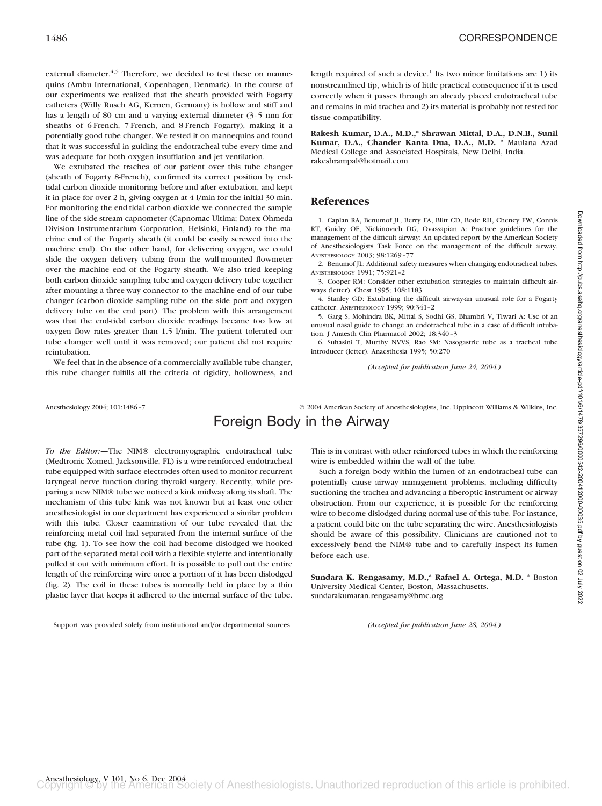external diameter.<sup>4,5</sup> Therefore, we decided to test these on mannequins (Ambu International, Copenhagen, Denmark). In the course of our experiments we realized that the sheath provided with Fogarty catheters (Willy Rusch AG, Kernen, Germany) is hollow and stiff and has a length of 80 cm and a varying external diameter (3–5 mm for sheaths of 6-French, 7-French, and 8-French Fogarty), making it a potentially good tube changer. We tested it on mannequins and found that it was successful in guiding the endotracheal tube every time and was adequate for both oxygen insufflation and jet ventilation.

We extubated the trachea of our patient over this tube changer (sheath of Fogarty 8-French), confirmed its correct position by endtidal carbon dioxide monitoring before and after extubation, and kept it in place for over 2 h, giving oxygen at 4 l/min for the initial 30 min. For monitoring the end-tidal carbon dioxide we connected the sample line of the side-stream capnometer (Capnomac Ultima; Datex Ohmeda Division Instrumentarium Corporation, Helsinki, Finland) to the machine end of the Fogarty sheath (it could be easily screwed into the machine end). On the other hand, for delivering oxygen, we could slide the oxygen delivery tubing from the wall-mounted flowmeter over the machine end of the Fogarty sheath. We also tried keeping both carbon dioxide sampling tube and oxygen delivery tube together after mounting a three-way connector to the machine end of our tube changer (carbon dioxide sampling tube on the side port and oxygen delivery tube on the end port). The problem with this arrangement was that the end-tidal carbon dioxide readings became too low at oxygen flow rates greater than 1.5 l/min. The patient tolerated our tube changer well until it was removed; our patient did not require reintubation.

We feel that in the absence of a commercially available tube changer, this tube changer fulfills all the criteria of rigidity, hollowness, and

length required of such a device.<sup>1</sup> Its two minor limitations are 1) its nonstreamlined tip, which is of little practical consequence if it is used correctly when it passes through an already placed endotracheal tube and remains in mid-trachea and 2) its material is probably not tested for tissue compatibility.

**Rakesh Kumar, D.A., M.D.,\* Shrawan Mittal, D.A., D.N.B., Sunil Kumar, D.A., Chander Kanta Dua, D.A., M.D.** \* Maulana Azad Medical College and Associated Hospitals, New Delhi, India. rakeshrampal@hotmail.com

### **References**

1. Caplan RA, Benumof JL, Berry FA, Blitt CD, Bode RH, Cheney FW, Connis RT, Guidry OF, Nickinovich DG, Ovassapian A: Practice guidelines for the management of the difficult airway: An updated report by the American Society of Anesthesiologists Task Force on the management of the difficult airway. ANESTHESIOLOGY 2003; 98:1269-7

2. Benumof JL: Additional safety measures when changing endotracheal tubes. ANESTHESIOLOGY 1991; 75:921–2

3. Cooper RM: Consider other extubation strategies to maintain difficult airways (letter). Chest 1995; 108:1183

4. Stanley GD: Extubating the difficult airway-an unusual role for a Fogarty catheter. ANESTHESIOLOGY 1999; 90:341–2

5. Garg S, Mohindra BK, Mittal S, Sodhi GS, Bhambri V, Tiwari A: Use of an unusual nasal guide to change an endotracheal tube in a case of difficult intubation. J Anaesth Clin Pharmacol 2002; 18:340 –3

6. Suhasini T, Murthy NVVS, Rao SM: Nasogastric tube as a tracheal tube introducer (letter). Anaesthesia 1995; 50:270

*(Accepted for publication June 24, 2004.)*

Anesthesiology 2004; 101:1486 –7 © 2004 American Society of Anesthesiologists, Inc. Lippincott Williams & Wilkins, Inc. Foreign Body in the Airway

*To the Editor:—*The NIM® electromyographic endotracheal tube (Medtronic Xomed, Jacksonville, FL) is a wire-reinforced endotracheal tube equipped with surface electrodes often used to monitor recurrent laryngeal nerve function during thyroid surgery. Recently, while preparing a new NIM® tube we noticed a kink midway along its shaft. The mechanism of this tube kink was not known but at least one other anesthesiologist in our department has experienced a similar problem with this tube. Closer examination of our tube revealed that the reinforcing metal coil had separated from the internal surface of the tube (fig. 1). To see how the coil had become dislodged we hooked part of the separated metal coil with a flexible stylette and intentionally pulled it out with minimum effort. It is possible to pull out the entire length of the reinforcing wire once a portion of it has been dislodged (fig. 2). The coil in these tubes is normally held in place by a thin plastic layer that keeps it adhered to the internal surface of the tube.

Support was provided solely from institutional and/or departmental sources. *(Accepted for publication June 28, 2004.)* 

This is in contrast with other reinforced tubes in which the reinforcing wire is embedded within the wall of the tube.

Such a foreign body within the lumen of an endotracheal tube can potentially cause airway management problems, including difficulty suctioning the trachea and advancing a fiberoptic instrument or airway obstruction. From our experience, it is possible for the reinforcing wire to become dislodged during normal use of this tube. For instance, a patient could bite on the tube separating the wire. Anesthesiologists should be aware of this possibility. Clinicians are cautioned not to excessively bend the NIM® tube and to carefully inspect its lumen before each use.

**Sundara K. Rengasamy, M.D.,\* Rafael A. Ortega, M.D.** \* Boston University Medical Center, Boston, Massachusetts. sundarakumaran.rengasamy@bmc.org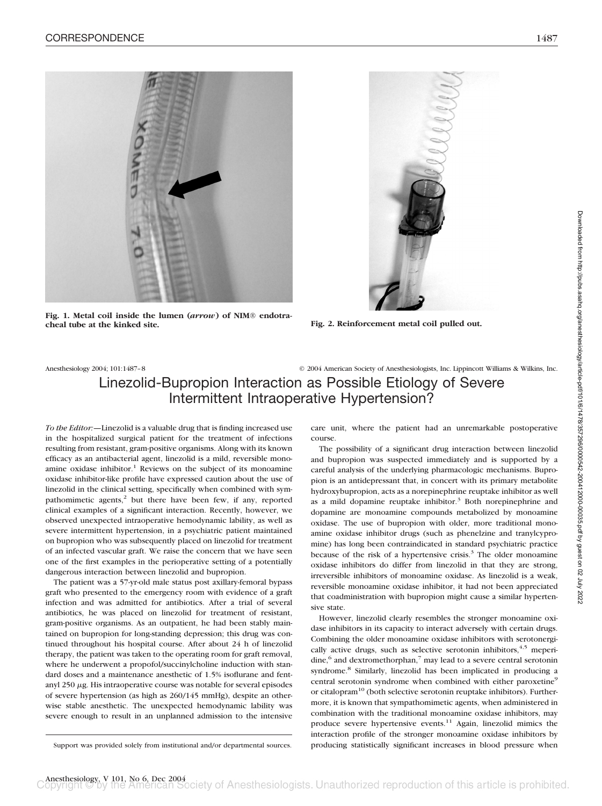

**Fig. 1. Metal coil inside the lumen (***arrow***) of NIM® endotracheal tube at the kinked site.**



**Fig. 2. Reinforcement metal coil pulled out.**

Anesthesiology 2004; 101:1487–8 © 2004 American Society of Anesthesiologists, Inc. Lippincott Williams & Wilkins, Inc. Linezolid-Bupropion Interaction as Possible Etiology of Severe Intermittent Intraoperative Hypertension?

*To the Editor:—*Linezolid is a valuable drug that is finding increased use in the hospitalized surgical patient for the treatment of infections resulting from resistant, gram-positive organisms. Along with its known efficacy as an antibacterial agent, linezolid is a mild, reversible monoamine oxidase inhibitor.<sup>1</sup> Reviews on the subject of its monoamine oxidase inhibitor-like profile have expressed caution about the use of linezolid in the clinical setting, specifically when combined with sympathomimetic agents, $2$  but there have been few, if any, reported clinical examples of a significant interaction. Recently, however, we observed unexpected intraoperative hemodynamic lability, as well as severe intermittent hypertension, in a psychiatric patient maintained on bupropion who was subsequently placed on linezolid for treatment of an infected vascular graft. We raise the concern that we have seen one of the first examples in the perioperative setting of a potentially dangerous interaction between linezolid and bupropion.

The patient was a 57-yr-old male status post axillary-femoral bypass graft who presented to the emergency room with evidence of a graft infection and was admitted for antibiotics. After a trial of several antibiotics, he was placed on linezolid for treatment of resistant, gram-positive organisms. As an outpatient, he had been stably maintained on bupropion for long-standing depression; this drug was continued throughout his hospital course. After about 24 h of linezolid therapy, the patient was taken to the operating room for graft removal, where he underwent a propofol/succinylcholine induction with standard doses and a maintenance anesthetic of 1.5% isoflurane and fentanyl  $250 \mu$ g. His intraoperative course was notable for several episodes of severe hypertension (as high as 260/145 mmHg), despite an otherwise stable anesthetic. The unexpected hemodynamic lability was severe enough to result in an unplanned admission to the intensive

Downloaded from http://pubs.asahq.org/anesthesiology/article-pdf/10/1478/357296/0000542-200412000-00035.pdf by guest on 02 July 2022 Downloaded from http://pubs.asahq.org/anesthesiology/article-pdf/101/6/1478/357296/0000542-200412000-00035.pdf by guest on 02 July 2022

care unit, where the patient had an unremarkable postoperative course.

The possibility of a significant drug interaction between linezolid and bupropion was suspected immediately and is supported by a careful analysis of the underlying pharmacologic mechanisms. Bupropion is an antidepressant that, in concert with its primary metabolite hydroxybupropion, acts as a norepinephrine reuptake inhibitor as well as a mild dopamine reuptake inhibitor. $3$  Both norepinephrine and dopamine are monoamine compounds metabolized by monoamine oxidase. The use of bupropion with older, more traditional monoamine oxidase inhibitor drugs (such as phenelzine and tranylcypromine) has long been contraindicated in standard psychiatric practice because of the risk of a hypertensive crisis.<sup>3</sup> The older monoamine oxidase inhibitors do differ from linezolid in that they are strong, irreversible inhibitors of monoamine oxidase. As linezolid is a weak, reversible monoamine oxidase inhibitor, it had not been appreciated that coadministration with bupropion might cause a similar hypertensive state.

However, linezolid clearly resembles the stronger monoamine oxidase inhibitors in its capacity to interact adversely with certain drugs. Combining the older monoamine oxidase inhibitors with serotonergically active drugs, such as selective serotonin inhibitors,  $4.5$  meperidine,<sup>6</sup> and dextromethorphan,<sup>7</sup> may lead to a severe central serotonin syndrome.<sup>8</sup> Similarly, linezolid has been implicated in producing a central serotonin syndrome when combined with either paroxetine<sup>9</sup> or citalopram<sup>10</sup> (both selective serotonin reuptake inhibitors). Furthermore, it is known that sympathomimetic agents, when administered in combination with the traditional monoamine oxidase inhibitors, may produce severe hypertensive events.<sup>11</sup> Again, linezolid mimics the interaction profile of the stronger monoamine oxidase inhibitors by Support was provided solely from institutional and/or departmental sources. producing statistically significant increases in blood pressure when